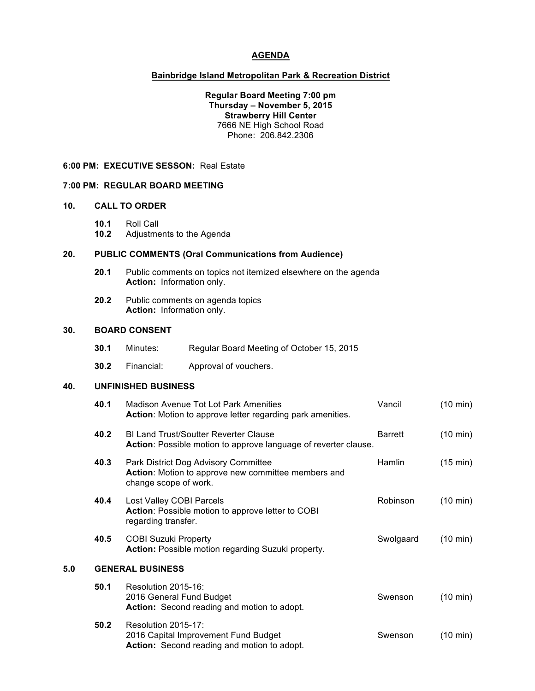# **AGENDA**

#### **Bainbridge Island Metropolitan Park & Recreation District**

**Regular Board Meeting 7:00 pm Thursday – November 5, 2015 Strawberry Hill Center** 7666 NE High School Road Phone: 206.842.2306

#### **6:00 PM: EXECUTIVE SESSON:** Real Estate

### **7:00 PM: REGULAR BOARD MEETING**

### **10. CALL TO ORDER**

**10.1** Roll Call

**10.2** Adjustments to the Agenda

## **20. PUBLIC COMMENTS (Oral Communications from Audience)**

- **20.1** Public comments on topics not itemized elsewhere on the agenda **Action:** Information only.
- **20.2** Public comments on agenda topics **Action:** Information only.

#### **30. BOARD CONSENT**

| 30.1 | Minutes: |  | Regular Board Meeting of October 15, 2015 |  |
|------|----------|--|-------------------------------------------|--|
|------|----------|--|-------------------------------------------|--|

**30.2** Financial: Approval of vouchers.

### **40. UNFINISHED BUSINESS**

|     | 40.1 | Madison Avenue Tot Lot Park Amenities<br>Action: Motion to approve letter regarding park amenities.                  | Vancil         | $(10 \text{ min})$ |
|-----|------|----------------------------------------------------------------------------------------------------------------------|----------------|--------------------|
|     | 40.2 | <b>BI Land Trust/Soutter Reverter Clause</b><br>Action: Possible motion to approve language of reverter clause.      | <b>Barrett</b> | $(10 \text{ min})$ |
|     | 40.3 | Park District Dog Advisory Committee<br>Action: Motion to approve new committee members and<br>change scope of work. | Hamlin         | (15 min)           |
|     | 40.4 | Lost Valley COBI Parcels<br>Action: Possible motion to approve letter to COBI<br>regarding transfer.                 | Robinson       | $(10 \text{ min})$ |
|     | 40.5 | <b>COBI Suzuki Property</b><br>Action: Possible motion regarding Suzuki property.                                    | Swolgaard      | $(10 \text{ min})$ |
| 5.0 |      | <b>GENERAL BUSINESS</b>                                                                                              |                |                    |
|     | 50.1 | Resolution 2015-16:<br>2016 General Fund Budget<br>Action: Second reading and motion to adopt.                       | Swenson        | $(10 \text{ min})$ |
|     | 50.2 | Resolution 2015-17:<br>2016 Capital Improvement Fund Budget<br>Action: Second reading and motion to adopt.           | Swenson        | $(10 \text{ min})$ |